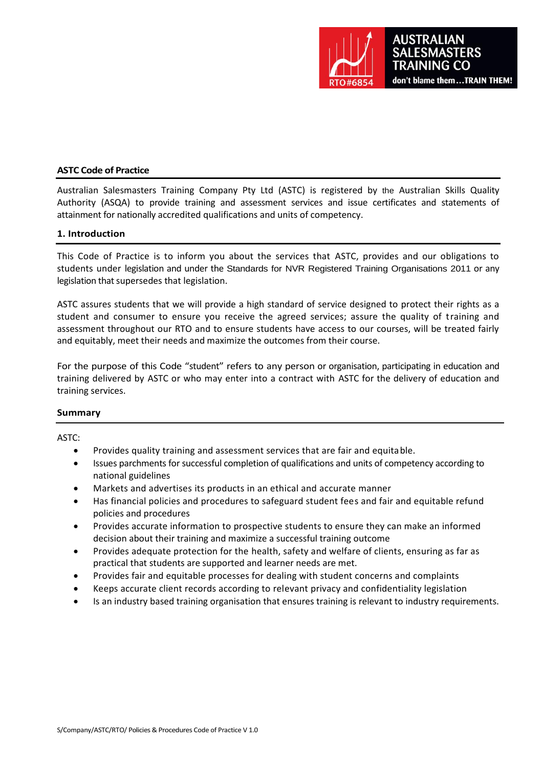

#### **ASTC Code of Practice**

Australian Salesmasters Training Company Pty Ltd (ASTC) is registered by the Australian Skills Quality Authority (ASQA) to provide training and assessment services and issue certificates and statements of attainment for nationally accredited qualifications and units of competency.

#### **1. Introduction**

This Code of Practice is to inform you about the services that ASTC, provides and our obligations to students under legislation and under the Standards for NVR Registered Training Organisations 2011 or any legislation that supersedes that legislation.

ASTC assures students that we will provide a high standard of service designed to protect their rights as a student and consumer to ensure you receive the agreed services; assure the quality of training and assessment throughout our RTO and to ensure students have access to our courses, will be treated fairly and equitably, meet their needs and maximize the outcomes from their course.

For the purpose of this Code "student" refers to any person or organisation, participating in education and training delivered by ASTC or who may enter into a contract with ASTC for the delivery of education and training services.

#### **Summary**

ASTC:

- Provides quality training and assessment services that are fair and equitable.
- Issues parchments for successful completion of qualifications and units of competency according to national guidelines
- Markets and advertises its products in an ethical and accurate manner
- Has financial policies and procedures to safeguard student fees and fair and equitable refund policies and procedures
- Provides accurate information to prospective students to ensure they can make an informed decision about their training and maximize a successful training outcome
- Provides adequate protection for the health, safety and welfare of clients, ensuring as far as practical that students are supported and learner needs are met.
- Provides fair and equitable processes for dealing with student concerns and complaints
- Keeps accurate client records according to relevant privacy and confidentiality legislation
- Is an industry based training organisation that ensures training is relevant to industry requirements.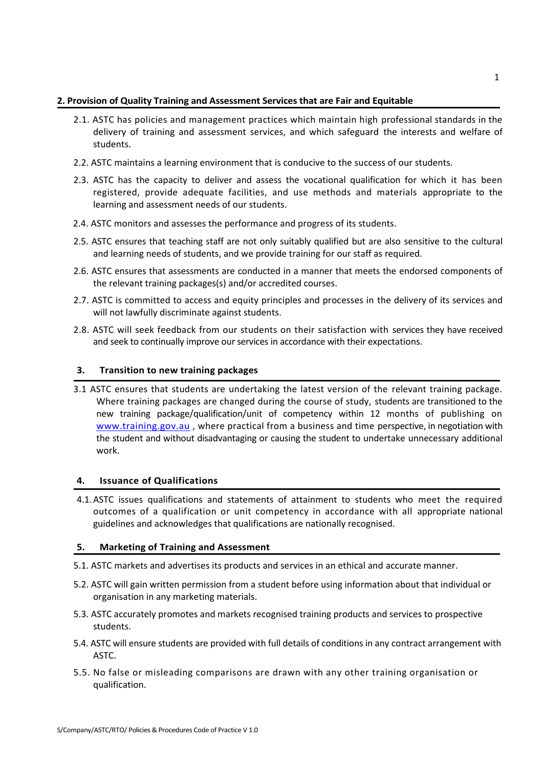## **2. Provision of Quality Training and Assessment Services that are Fair and Equitable**

- 2.1. ASTC has policies and management practices which maintain high professional standards in the delivery of training and assessment services, and which safeguard the interests and welfare of students.
- 2.2. ASTC maintains a learning environment that is conducive to the success of our students.
- 2.3. ASTC has the capacity to deliver and assess the vocational qualification for which it has been registered, provide adequate facilities, and use methods and materials appropriate to the learning and assessment needs of our students.
- 2.4. ASTC monitors and assesses the performance and progress of its students.
- 2.5. ASTC ensures that teaching staff are not only suitably qualified but are also sensitive to the cultural and learning needs of students, and we provide training for our staff as required.
- 2.6. ASTC ensures that assessments are conducted in a manner that meets the endorsed components of the relevant training packages(s) and/or accredited courses.
- 2.7. ASTC is committed to access and equity principles and processes in the delivery of its services and will not lawfully discriminate against students.
- 2.8. ASTC will seek feedback from our students on their satisfaction with services they have received and seek to continually improve our services in accordance with their expectations.

## **3. Transition to new training packages**

3.1 ASTC ensures that students are undertaking the latest version of the relevant training package. Where training packages are changed during the course of study, students are transitioned to the new training package/qualification/unit of competency within 12 months of publishing on [www.training.gov.au](http://www.training.gov.au/) , where practical from a business and time perspective, in negotiation with the student and without disadvantaging or causing the student to undertake unnecessary additional work.

# **4. Issuance of Qualifications**

4.1.ASTC issues qualifications and statements of attainment to students who meet the required outcomes of a qualification or unit competency in accordance with all appropriate national guidelines and acknowledges that qualifications are nationally recognised.

#### **5. Marketing of Training and Assessment**

- 5.1. ASTC markets and advertises its products and services in an ethical and accurate manner.
- 5.2. ASTC will gain written permission from a student before using information about that individual or organisation in any marketing materials.
- 5.3. ASTC accurately promotes and markets recognised training products and services to prospective students.
- 5.4. ASTC will ensure students are provided with full details of conditions in any contract arrangement with ASTC.
- 5.5. No false or misleading comparisons are drawn with any other training organisation or qualification.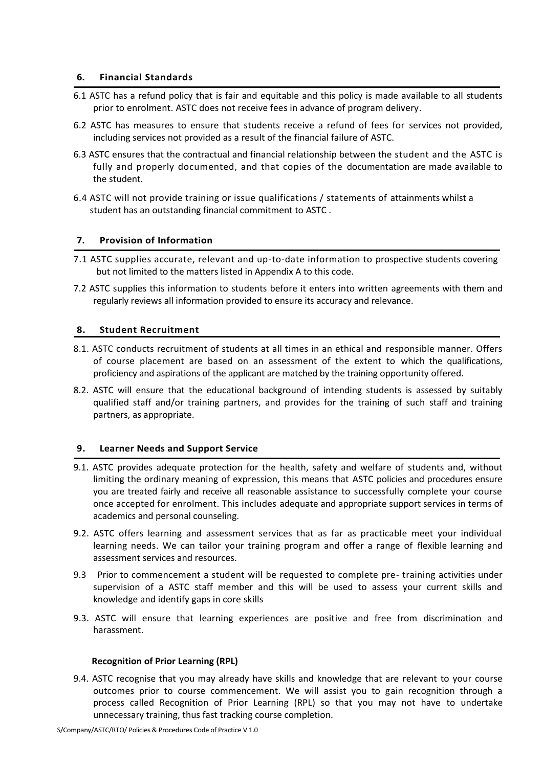#### **6. Financial Standards**

- 6.1 ASTC has a refund policy that is fair and equitable and this policy is made available to all students prior to enrolment. ASTC does not receive fees in advance of program delivery.
- 6.2 ASTC has measures to ensure that students receive a refund of fees for services not provided, including services not provided as a result of the financial failure of ASTC.
- 6.3 ASTC ensures that the contractual and financial relationship between the student and the ASTC is fully and properly documented, and that copies of the documentation are made available to the student.
- 6.4 ASTC will not provide training or issue qualifications / statements of attainments whilst a student has an outstanding financial commitment to ASTC .

#### **7. Provision of Information**

- 7.1 ASTC supplies accurate, relevant and up-to-date information to prospective students covering but not limited to the matters listed in Appendix A to this code.
- 7.2 ASTC supplies this information to students before it enters into written agreements with them and regularly reviews all information provided to ensure its accuracy and relevance.

#### **8. Student Recruitment**

- 8.1. ASTC conducts recruitment of students at all times in an ethical and responsible manner. Offers of course placement are based on an assessment of the extent to which the qualifications, proficiency and aspirations of the applicant are matched by the training opportunity offered.
- 8.2. ASTC will ensure that the educational background of intending students is assessed by suitably qualified staff and/or training partners, and provides for the training of such staff and training partners, as appropriate.

#### **9. Learner Needs and Support Service**

- 9.1. ASTC provides adequate protection for the health, safety and welfare of students and, without limiting the ordinary meaning of expression, this means that ASTC policies and procedures ensure you are treated fairly and receive all reasonable assistance to successfully complete your course once accepted for enrolment. This includes adequate and appropriate support services in terms of academics and personal counseling.
- 9.2. ASTC offers learning and assessment services that as far as practicable meet your individual learning needs. We can tailor your training program and offer a range of flexible learning and assessment services and resources.
- 9.3 Prior to commencement a student will be requested to complete pre- training activities under supervision of a ASTC staff member and this will be used to assess your current skills and knowledge and identify gaps in core skills
- 9.3. ASTC will ensure that learning experiences are positive and free from discrimination and harassment.

#### **Recognition of Prior Learning (RPL)**

9.4. ASTC recognise that you may already have skills and knowledge that are relevant to your course outcomes prior to course commencement. We will assist you to gain recognition through a process called Recognition of Prior Learning (RPL) so that you may not have to undertake unnecessary training, thus fast tracking course completion.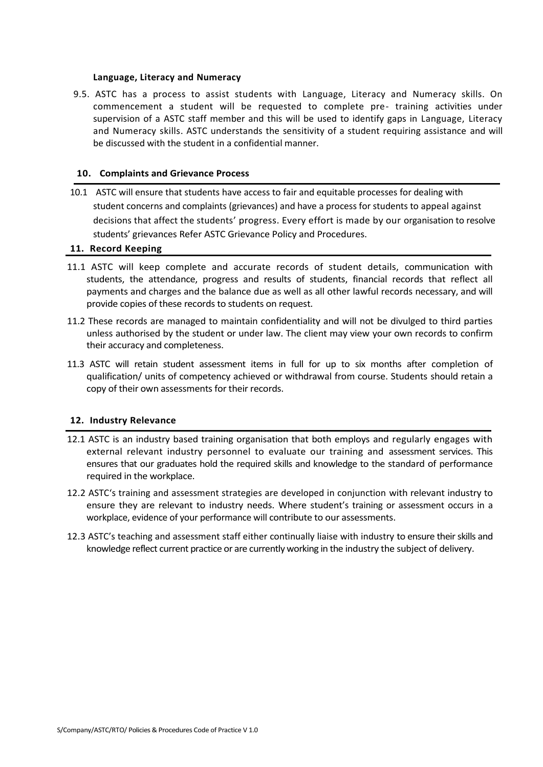#### **Language, Literacy and Numeracy**

9.5. ASTC has a process to assist students with Language, Literacy and Numeracy skills. On commencement a student will be requested to complete pre- training activities under supervision of a ASTC staff member and this will be used to identify gaps in Language, Literacy and Numeracy skills. ASTC understands the sensitivity of a student requiring assistance and will be discussed with the student in a confidential manner.

#### **10. Complaints and Grievance Process**

10.1 ASTC will ensure that students have access to fair and equitable processes for dealing with student concerns and complaints (grievances) and have a process for students to appeal against decisions that affect the students' progress. Every effort is made by our organisation to resolve students' grievances Refer ASTC Grievance Policy and Procedures.

#### **11. Record Keeping**

- 11.1 ASTC will keep complete and accurate records of student details, communication with students, the attendance, progress and results of students, financial records that reflect all payments and charges and the balance due as well as all other lawful records necessary, and will provide copies of these records to students on request.
- 11.2 These records are managed to maintain confidentiality and will not be divulged to third parties unless authorised by the student or under law. The client may view your own records to confirm their accuracy and completeness.
- 11.3 ASTC will retain student assessment items in full for up to six months after completion of qualification/ units of competency achieved or withdrawal from course. Students should retain a copy of their own assessments for their records.

## **12. Industry Relevance**

- 12.1 ASTC is an industry based training organisation that both employs and regularly engages with external relevant industry personnel to evaluate our training and assessment services. This ensures that our graduates hold the required skills and knowledge to the standard of performance required in the workplace.
- 12.2 ASTC's training and assessment strategies are developed in conjunction with relevant industry to ensure they are relevant to industry needs. Where student's training or assessment occurs in a workplace, evidence of your performance will contribute to our assessments.
- 12.3 ASTC's teaching and assessment staff either continually liaise with industry to ensure their skills and knowledge reflect current practice or are currently working in the industry the subject of delivery.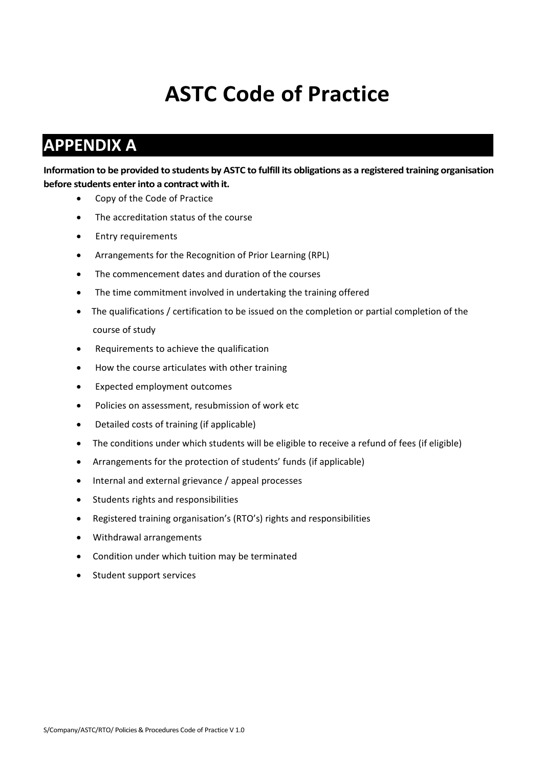# **ASTC Code of Practice**

# **APPENDIX A**

**Information to be provided to students by ASTC to fulfill its obligations as a registered training organisation before students enter into a contract with it.**

- Copy of the Code of Practice
- The accreditation status of the course
- Entry requirements
- Arrangements for the Recognition of Prior Learning (RPL)
- The commencement dates and duration of the courses
- The time commitment involved in undertaking the training offered
- The qualifications / certification to be issued on the completion or partial completion of the course of study
- Requirements to achieve the qualification
- How the course articulates with other training
- Expected employment outcomes
- Policies on assessment, resubmission of work etc
- Detailed costs of training (if applicable)
- The conditions under which students will be eligible to receive a refund of fees (if eligible)
- Arrangements for the protection of students' funds (if applicable)
- Internal and external grievance / appeal processes
- Students rights and responsibilities
- Registered training organisation's (RTO's) rights and responsibilities
- Withdrawal arrangements
- Condition under which tuition may be terminated
- Student support services